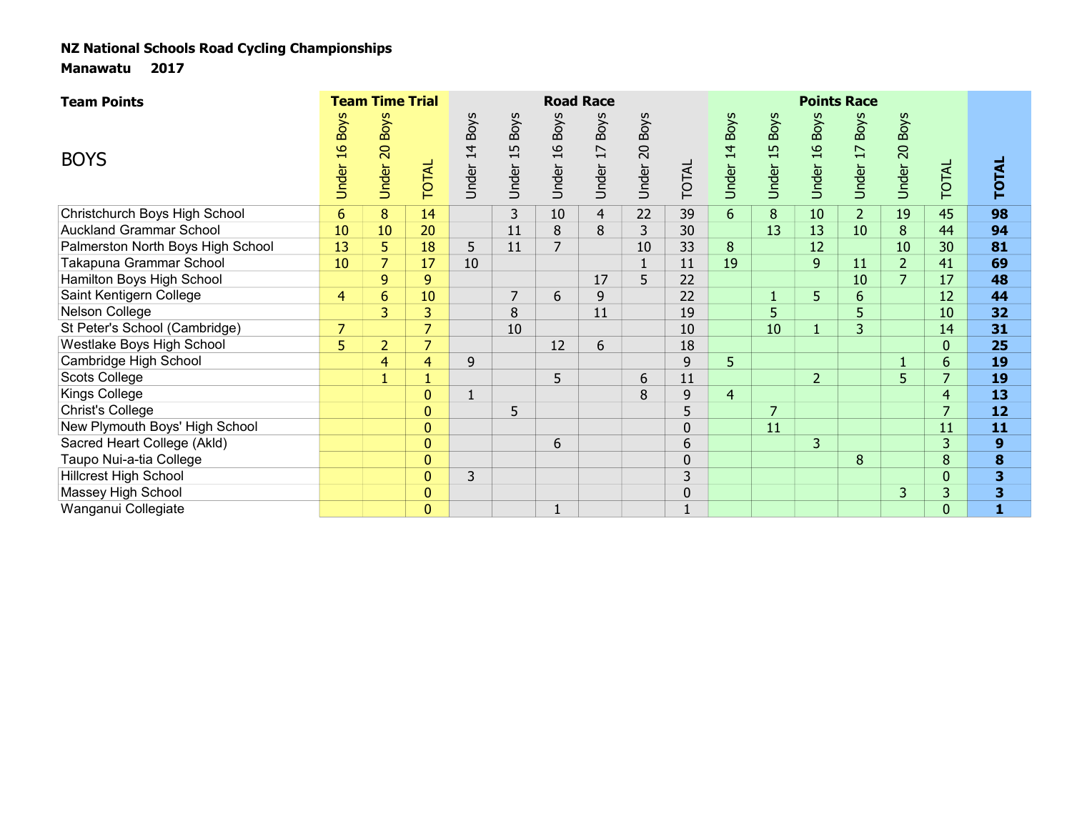| <b>Team Points</b>                |                                       | <b>Team Time Trial</b>                  |                |                                        |                            |                                        | <b>Road Race</b>                        |                                        |                |                                        |                            |                                        | <b>Points Race</b>                      |                         |                |                         |  |
|-----------------------------------|---------------------------------------|-----------------------------------------|----------------|----------------------------------------|----------------------------|----------------------------------------|-----------------------------------------|----------------------------------------|----------------|----------------------------------------|----------------------------|----------------------------------------|-----------------------------------------|-------------------------|----------------|-------------------------|--|
| <b>BOYS</b>                       | <b>Boys</b><br>$\frac{9}{1}$<br>Under | <b>Boys</b><br>$\overline{20}$<br>Under | <b>TOTAL</b>   | <b>Boys</b><br>$\overline{4}$<br>Under | <b>Boys</b><br>15<br>Under | <b>Boys</b><br>$\mathfrak{a}$<br>Under | <b>Boys</b><br>$\overline{17}$<br>Under | <b>Boys</b><br>$\overline{0}$<br>Under | TOTAL          | <b>Boys</b><br>$\overline{4}$<br>Under | <b>Boys</b><br>15<br>Under | <b>Boys</b><br>$\mathfrak{a}$<br>Under | <b>Boys</b><br>$\overline{17}$<br>Under | <b>Boys</b><br>Under 20 | <b>TOTAL</b>   | <b>TOTAL</b>            |  |
| Christchurch Boys High School     | $6\phantom{1}6$                       | 8                                       | 14             |                                        | $\mathsf{3}$               | 10                                     | 4                                       | 22                                     | 39             | 6 <sup>1</sup>                         | $\bf 8$                    | 10                                     | 2 <sup>2</sup>                          | 19                      | 45             | 98                      |  |
| <b>Auckland Grammar School</b>    | 10                                    | 10                                      | 20             |                                        | 11                         | 8                                      | 8                                       | 3                                      | 30             |                                        | 13                         | 13                                     | 10                                      | 8                       | 44             | 94                      |  |
| Palmerston North Boys High School | 13                                    | 5                                       | 18             | 5                                      | 11                         | $\overline{7}$                         |                                         | 10                                     | 33             | 8                                      |                            | 12                                     |                                         | 10                      | 30             | 81                      |  |
| Takapuna Grammar School           | 10                                    | $\overline{7}$                          | 17             | 10                                     |                            |                                        |                                         | $\overline{1}$                         | 11             | 19                                     |                            | 9                                      | 11                                      | $\overline{2}$          | 41             | 69                      |  |
| Hamilton Boys High School         |                                       | 9                                       | $\overline{9}$ |                                        |                            |                                        | 17                                      | 5                                      | 22             |                                        |                            |                                        | 10                                      | $\overline{7}$          | 17             | 48                      |  |
| Saint Kentigern College           | $\overline{4}$                        | $6\phantom{1}$                          | 10             |                                        | 7                          | 6                                      | 9                                       |                                        | 22             |                                        |                            | 5                                      | $6\phantom{1}$                          |                         | 12             | 44                      |  |
| Nelson College                    |                                       | 3                                       | 3              |                                        | 8                          |                                        | 11                                      |                                        | 19             |                                        | 5                          |                                        | 5                                       |                         | 10             | 32                      |  |
| St Peter's School (Cambridge)     | 7                                     |                                         | $\overline{z}$ |                                        | 10                         |                                        |                                         |                                        | 10             |                                        | 10                         | $\mathbf{1}$                           | 3                                       |                         | 14             | 31                      |  |
| Westlake Boys High School         | 5                                     | $\overline{2}$                          | $\overline{7}$ |                                        |                            | 12                                     | 6                                       |                                        | 18             |                                        |                            |                                        |                                         |                         | $\mathbf{0}$   | 25                      |  |
| Cambridge High School             |                                       | $\overline{4}$                          | 4              | 9                                      |                            |                                        |                                         |                                        | 9              | 5                                      |                            |                                        |                                         |                         | $6\phantom{1}$ | 19                      |  |
| Scots College                     |                                       | $\mathbf{1}$                            |                |                                        |                            | 5                                      |                                         | 6                                      | 11             |                                        |                            | $\overline{2}$                         |                                         | 5                       | 7              | 19                      |  |
| <b>Kings College</b>              |                                       |                                         | $\overline{0}$ |                                        |                            |                                        |                                         | 8                                      | 9              | $\overline{4}$                         |                            |                                        |                                         |                         | $\overline{4}$ | 13                      |  |
| Christ's College                  |                                       |                                         | $\mathbf{0}$   |                                        | 5                          |                                        |                                         |                                        | 5              |                                        | 7                          |                                        |                                         |                         | 7              | 12                      |  |
| New Plymouth Boys' High School    |                                       |                                         | 0              |                                        |                            |                                        |                                         |                                        | $\mathbf 0$    |                                        | 11                         |                                        |                                         |                         | 11             | 11                      |  |
| Sacred Heart College (Akld)       |                                       |                                         | $\mathbf{0}$   |                                        |                            | 6                                      |                                         |                                        | 6              |                                        |                            | 3                                      |                                         |                         | 3              | 9                       |  |
| Taupo Nui-a-tia College           |                                       |                                         | $\mathbf{0}$   |                                        |                            |                                        |                                         |                                        | $\mathbf 0$    |                                        |                            |                                        | 8                                       |                         | 8              | 8                       |  |
| <b>Hillcrest High School</b>      |                                       |                                         | $\overline{0}$ | $\overline{3}$                         |                            |                                        |                                         |                                        | $\overline{3}$ |                                        |                            |                                        |                                         |                         | $\pmb{0}$      | $\overline{\mathbf{3}}$ |  |
| Massey High School                |                                       |                                         | $\pmb{0}$      |                                        |                            |                                        |                                         |                                        | $\mathbf 0$    |                                        |                            |                                        |                                         | 3                       | 3              | 3                       |  |
| Wanganui Collegiate               |                                       |                                         | $\mathbf{0}$   |                                        |                            |                                        |                                         |                                        |                |                                        |                            |                                        |                                         |                         | $\mathbf 0$    |                         |  |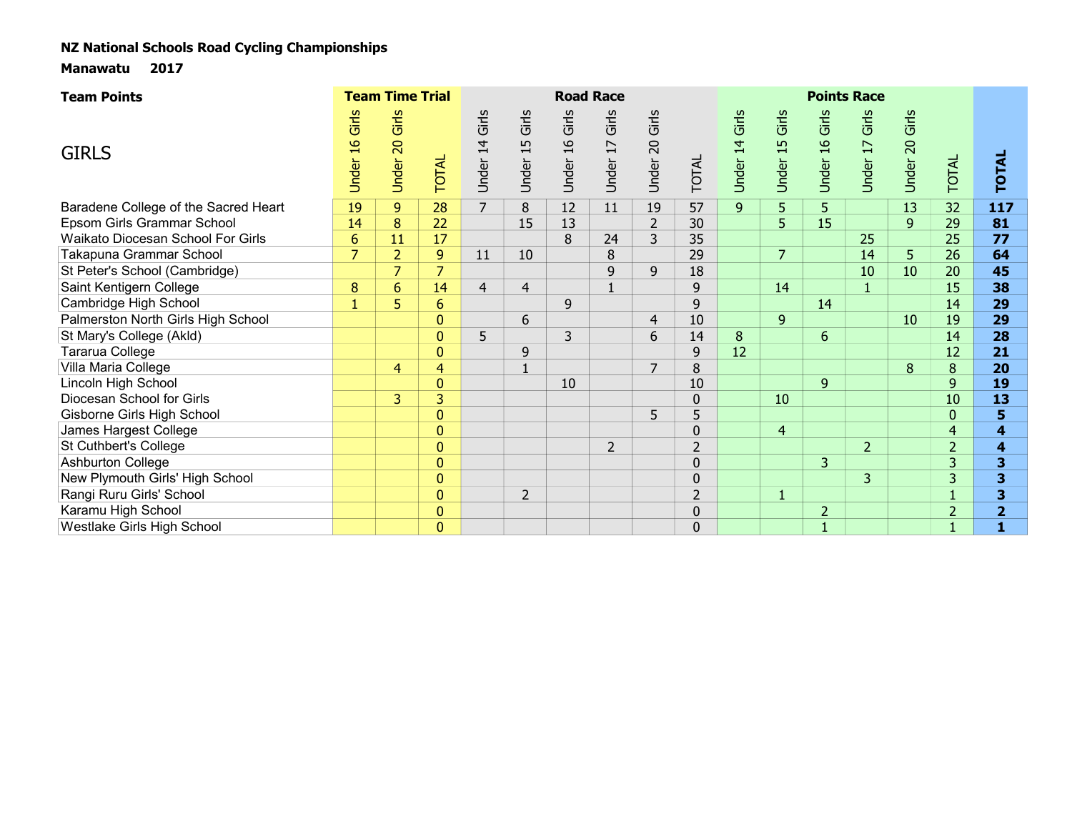| <b>Team Points</b>                   |                                  | <b>Team Time Trial</b> |                |                |                      |                                 | <b>Road Race</b>                  |                      |                |                   |                                  |                                 | <b>Points Race</b>                |                   |                |                         |  |
|--------------------------------------|----------------------------------|------------------------|----------------|----------------|----------------------|---------------------------------|-----------------------------------|----------------------|----------------|-------------------|----------------------------------|---------------------------------|-----------------------------------|-------------------|----------------|-------------------------|--|
| <b>GIRLS</b>                         | Girls<br>$\overline{a}$<br>Under | Girls<br>Under 20      | TOTAL          | Under 14 Girls | Girls<br>15<br>Under | Girls<br>$\frac{6}{1}$<br>Under | Girls<br>$\overline{17}$<br>Under | Girls<br>20<br>Under | TOTAL          | 14 Girls<br>Under | Girls<br>$\frac{15}{1}$<br>Under | Girls<br>$\frac{6}{1}$<br>Under | Girls<br>$\overline{17}$<br>Under | 20 Girls<br>Under | TOTAL          | <b>TOTAL</b>            |  |
| Baradene College of the Sacred Heart | 19                               | $\overline{9}$         | 28             | $\overline{7}$ | 8                    | 12                              | 11                                | 19                   | 57             | $\overline{9}$    | 5                                | 5                               |                                   | 13                | 32             | 117                     |  |
| Epsom Girls Grammar School           | 14                               | $\bf 8$                | 22             |                | 15                   | 13                              |                                   | $\overline{2}$       | 30             |                   | 5                                | 15                              |                                   | 9                 | 29             | 81                      |  |
| Waikato Diocesan School For Girls    | 6                                | 11                     | 17             |                |                      | 8                               | 24                                | $\overline{3}$       | 35             |                   |                                  |                                 | 25                                |                   | 25             | 77                      |  |
| Takapuna Grammar School              | $\overline{7}$                   | $\overline{2}$         | 9              | 11             | 10                   |                                 | 8                                 |                      | 29             |                   | $\overline{7}$                   |                                 | 14                                | 5                 | 26             | 64                      |  |
| St Peter's School (Cambridge)        |                                  | $\overline{7}$         | $\overline{7}$ |                |                      |                                 | 9                                 | 9                    | 18             |                   |                                  |                                 | 10                                | 10                | 20             | 45                      |  |
| Saint Kentigern College              | 8                                | 6                      | 14             | $\overline{4}$ | $\overline{4}$       |                                 | $\mathbf{1}$                      |                      | 9              |                   | 14                               |                                 | $\mathbf{1}$                      |                   | 15             | 38                      |  |
| Cambridge High School                | $\mathbf{1}$                     | 5                      | $6\phantom{1}$ |                |                      | 9                               |                                   |                      | 9              |                   |                                  | 14                              |                                   |                   | 14             | 29                      |  |
| Palmerston North Girls High School   |                                  |                        | $\mathbf{0}$   |                | 6                    |                                 |                                   | $\overline{4}$       | 10             |                   | $\overline{9}$                   |                                 |                                   | 10                | 19             | 29                      |  |
| St Mary's College (Akld)             |                                  |                        | $\mathbf{0}$   | 5              |                      | 3                               |                                   | 6                    | 14             | 8                 |                                  | 6                               |                                   |                   | 14             | 28                      |  |
| Tararua College                      |                                  |                        | $\mathbf{0}$   |                | 9                    |                                 |                                   |                      | 9              | 12                |                                  |                                 |                                   |                   | 12             | 21                      |  |
| Villa Maria College                  |                                  | $\overline{4}$         | 4              |                | $\mathbf{1}$         |                                 |                                   | $\overline{7}$       | 8              |                   |                                  |                                 |                                   | 8                 | 8              | 20                      |  |
| Lincoln High School                  |                                  |                        | $\Omega$       |                |                      | 10                              |                                   |                      | 10             |                   |                                  | 9                               |                                   |                   | 9              | 19                      |  |
| Diocesan School for Girls            |                                  | 3                      | 3              |                |                      |                                 |                                   |                      | $\mathbf 0$    |                   | 10                               |                                 |                                   |                   | 10             | 13                      |  |
| Gisborne Girls High School           |                                  |                        | $\Omega$       |                |                      |                                 |                                   | 5                    | 5              |                   |                                  |                                 |                                   |                   | $\overline{0}$ | 5                       |  |
| James Hargest College                |                                  |                        | $\mathbf{0}$   |                |                      |                                 |                                   |                      | $\Omega$       |                   | $\overline{4}$                   |                                 |                                   |                   | $\overline{4}$ | $\overline{\mathbf{4}}$ |  |
| St Cuthbert's College                |                                  |                        | $\mathbf{0}$   |                |                      |                                 | $\overline{2}$                    |                      | $\overline{2}$ |                   |                                  |                                 | $\overline{2}$                    |                   | $\overline{2}$ | 4                       |  |
| <b>Ashburton College</b>             |                                  |                        | $\overline{0}$ |                |                      |                                 |                                   |                      | $\overline{0}$ |                   |                                  | $\overline{3}$                  |                                   |                   | $\overline{3}$ | 3                       |  |
| New Plymouth Girls' High School      |                                  |                        | $\mathbf{0}$   |                |                      |                                 |                                   |                      | $\overline{0}$ |                   |                                  |                                 | 3                                 |                   | 3              | 3                       |  |
| Rangi Ruru Girls' School             |                                  |                        | $\mathbf{0}$   |                | $\overline{2}$       |                                 |                                   |                      | $\overline{2}$ |                   | $\blacksquare$                   |                                 |                                   |                   |                | 3                       |  |
| Karamu High School                   |                                  |                        | $\mathbf{0}$   |                |                      |                                 |                                   |                      | $\overline{0}$ |                   |                                  | $\overline{2}$                  |                                   |                   | $\overline{2}$ | $\overline{2}$          |  |
| Westlake Girls High School           |                                  |                        | $\mathbf 0$    |                |                      |                                 |                                   |                      | $\overline{0}$ |                   |                                  |                                 |                                   |                   |                |                         |  |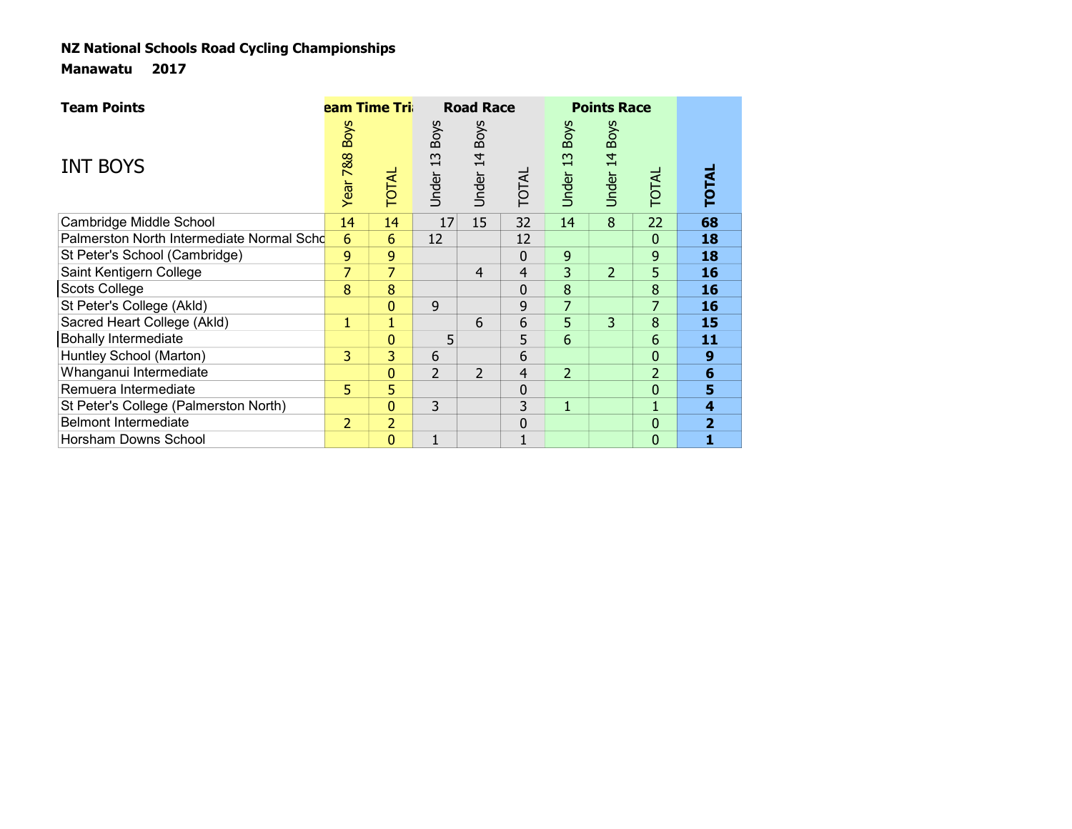| <b>Team Points</b>                        | eam Time Tri    |                |                            | <b>Road Race</b> |                |                                      | <b>Points Race</b>      |                |                |
|-------------------------------------------|-----------------|----------------|----------------------------|------------------|----------------|--------------------------------------|-------------------------|----------------|----------------|
| <b>INT BOYS</b>                           | Year 7&8 Boys   | TOTAL          | <b>Boys</b><br>13<br>Under | Under 14 Boys    | TOTAL          | <b>Boys</b><br>$\mathbf{r}$<br>Under | <b>Boys</b><br>Jnder 14 | <b>TOTAL</b>   | <b>TOTAL</b>   |
| Cambridge Middle School                   | 14              | 14             | 17                         | 15               | 32             | 14                                   | $\overline{8}$          | 22             | 68             |
| Palmerston North Intermediate Normal Scho | $6\overline{6}$ | $6\phantom{1}$ | 12                         |                  | 12             |                                      |                         | $\mathbf{0}$   | 18             |
| St Peter's School (Cambridge)             | 9               | 9              |                            |                  | 0              | 9                                    |                         | 9              | 18             |
| Saint Kentigern College                   |                 | 7              |                            | $\overline{4}$   | $\overline{4}$ | 3                                    | $\overline{2}$          | 5              | 16             |
| Scots College                             | 8               | 8              |                            |                  | 0              | 8                                    |                         | 8              | 16             |
| St Peter's College (Akld)                 |                 | $\mathbf{0}$   | 9                          |                  | 9              | 7                                    |                         | 7              | 16             |
| Sacred Heart College (Akld)               | 1               |                |                            | 6                | 6              | 5                                    | 3                       | 8              | 15             |
| <b>Bohally Intermediate</b>               |                 | 0              | 5                          |                  | 5              | $6\overline{6}$                      |                         | 6              | 11             |
| Huntley School (Marton)                   | 3               | 3              | 6                          |                  | 6              |                                      |                         | $\mathbf{0}$   | 9              |
| Whanganui Intermediate                    |                 | 0              | $\overline{2}$             | $\overline{2}$   | $\overline{4}$ | $\overline{2}$                       |                         | $\overline{2}$ | 6              |
| Remuera Intermediate                      | 5.              | 5              |                            |                  | 0              |                                      |                         | 0              | 5              |
| St Peter's College (Palmerston North)     |                 | 0              | 3                          |                  | 3              | $\mathbf{1}$                         |                         |                | 4              |
| <b>Belmont Intermediate</b>               | $\overline{2}$  | $\overline{2}$ |                            |                  | $\pmb{0}$      |                                      |                         | 0              | $\overline{2}$ |
| Horsham Downs School                      |                 | 0              |                            |                  | $\mathbf{1}$   |                                      |                         | 0              | 1              |